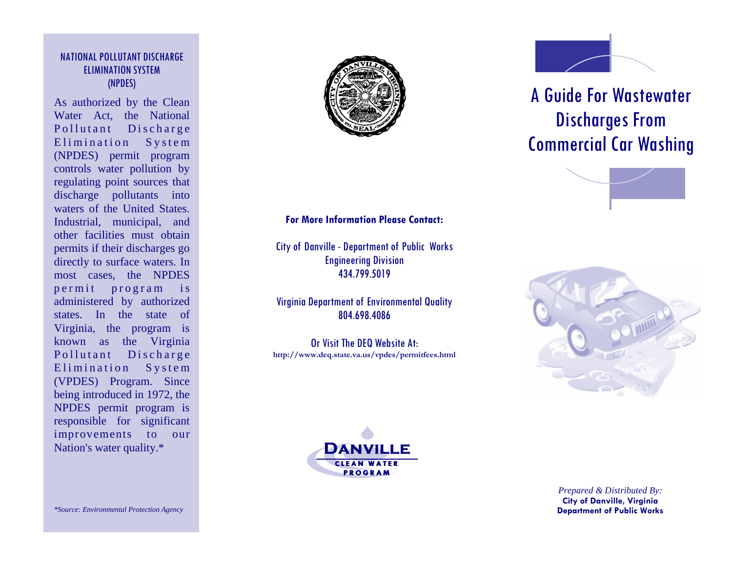#### NATIONAL POLLUTANT DISCHARGE ELIMINATION SYSTEM (NPDES)

As authorized by the Clean Water Act, the National Pollutant Discharge Elimination System (NPDES) permit program controls water pollution by regulating point sources that discharge pollutants into waters of the United States. Industrial, municipal, and other facilities must obtain permits if their discharges go directly to surface waters. In most cases, the NPDES permit program is administered by authorized states. In the state of Virginia, the program is known as the Virginia Pollutant Discharge Elimination System (VPDES) Program. Since being introduced in 1972, the NPDES permit program is responsible for significant improvements to our Nation's water quality.\*

#### **For More Information Please Contact:**

City of Danville - Department of Public Works Engineering Division 434.799.5019

Virginia Department of Environmental Quality 804.698.4086

Or Visit The DEQ Website At: **http://www.deq.state.va.us/vpdes/permitfees.html**



# A Guide For Wastewater Discharges From Commercial Car Washing







*Prepared & Distributed By:* **City of Danville, Virginia Department of Public Works**

*\*Source: Environmental Protection Agency*